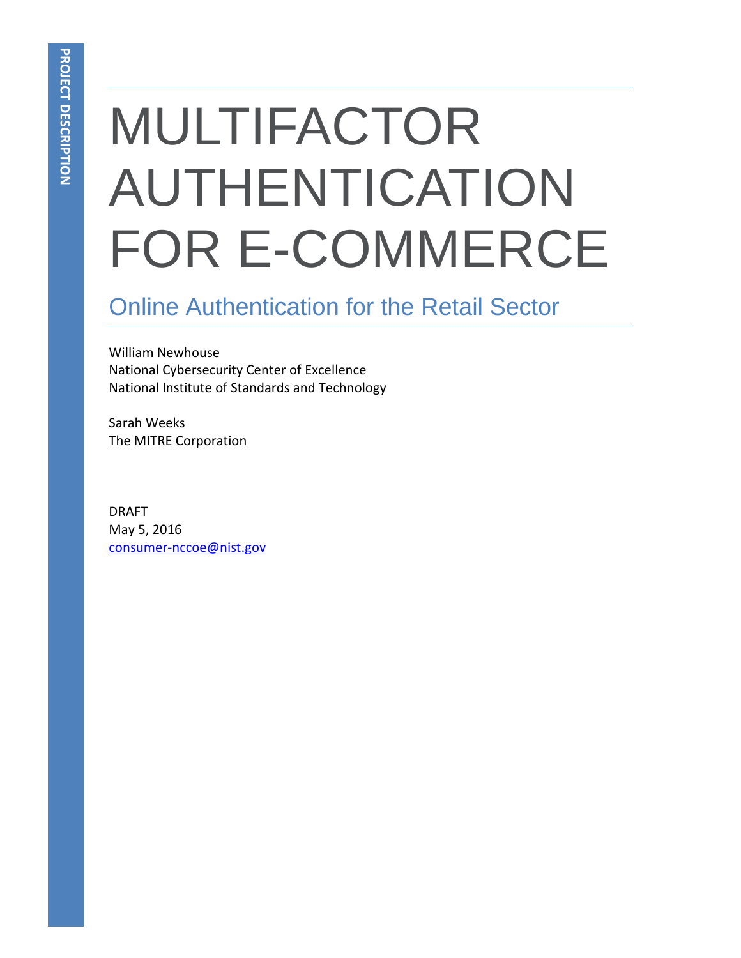# MULTIFACTOR AUTHENTICATION FOR E-COMMERCE

## Online Authentication for the Retail Sector

William Newhouse National Cybersecurity Center of Excellence National Institute of Standards and Technology

Sarah Weeks The MITRE Corporation

DRAFT May 5, 2016 [consumer-nccoe@nist.gov](mailto:consumer-nccoe@nist.gov)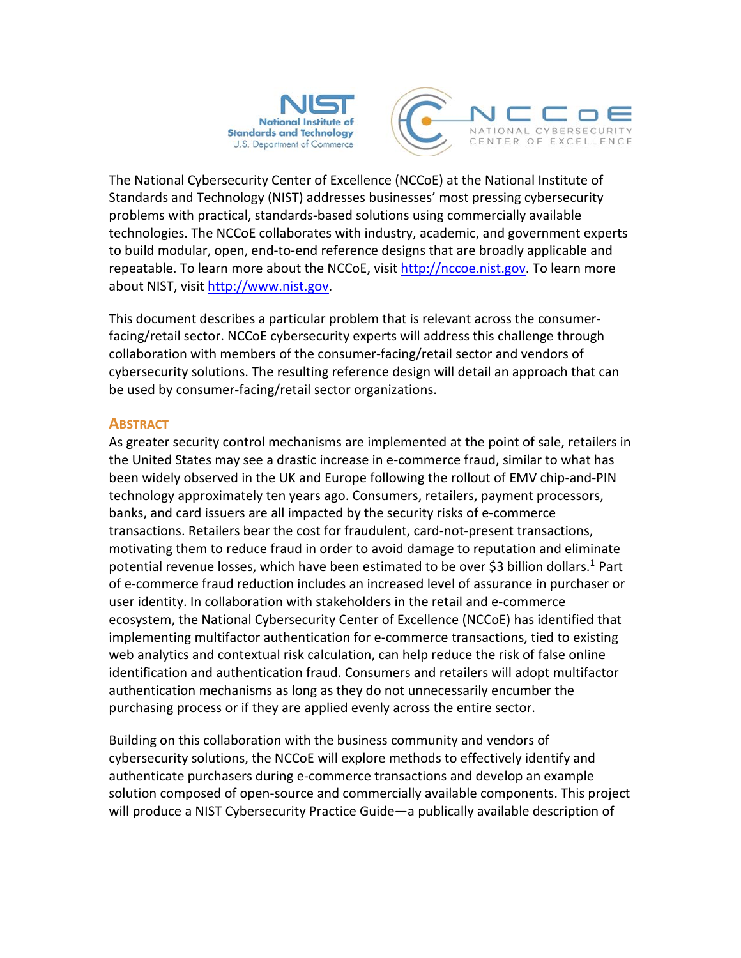

The National Cybersecurity Center of Excellence (NCCoE) at the National Institute of Standards and Technology (NIST) addresses businesses' most pressing cybersecurity problems with practical, standards-based solutions using commercially available technologies. The NCCoE collaborates with industry, academic, and government experts to build modular, open, end-to-end reference designs that are broadly applicable and repeatable. To learn more about the NCCoE, visit [http://nccoe.nist.gov.](http://nccoe.nist.gov/) To learn more about NIST, visi[t http://www.nist.gov.](http://www.nist.gov/)

This document describes a particular problem that is relevant across the consumerfacing/retail sector. NCCoE cybersecurity experts will address this challenge through collaboration with members of the consumer-facing/retail sector and vendors of cybersecurity solutions. The resulting reference design will detail an approach that can be used by consumer-facing/retail sector organizations.

#### **ABSTRACT**

As greater security control mechanisms are implemented at the point of sale, retailers in the United States may see a drastic increase in e-commerce fraud, similar to what has been widely observed in the UK and Europe following the rollout of EMV chip-and-PIN technology approximately ten years ago. Consumers, retailers, payment processors, banks, and card issuers are all impacted by the security risks of e-commerce transactions. Retailers bear the cost for fraudulent, card-not-present transactions, motivating them to reduce fraud in order to avoid damage to reputation and eliminate potential revenue losses, which have been estimated to be over \$3 billion dollars.<sup>1</sup> Part of e-commerce fraud reduction includes an increased level of assurance in purchaser or user identity. In collaboration with stakeholders in the retail and e-commerce ecosystem, the National Cybersecurity Center of Excellence (NCCoE) has identified that implementing multifactor authentication for e-commerce transactions, tied to existing web analytics and contextual risk calculation, can help reduce the risk of false online identification and authentication fraud. Consumers and retailers will adopt multifactor authentication mechanisms as long as they do not unnecessarily encumber the purchasing process or if they are applied evenly across the entire sector.

Building on this collaboration with the business community and vendors of cybersecurity solutions, the NCCoE will explore methods to effectively identify and authenticate purchasers during e-commerce transactions and develop an example solution composed of open-source and commercially available components. This project will produce a NIST Cybersecurity Practice Guide—a publically available description of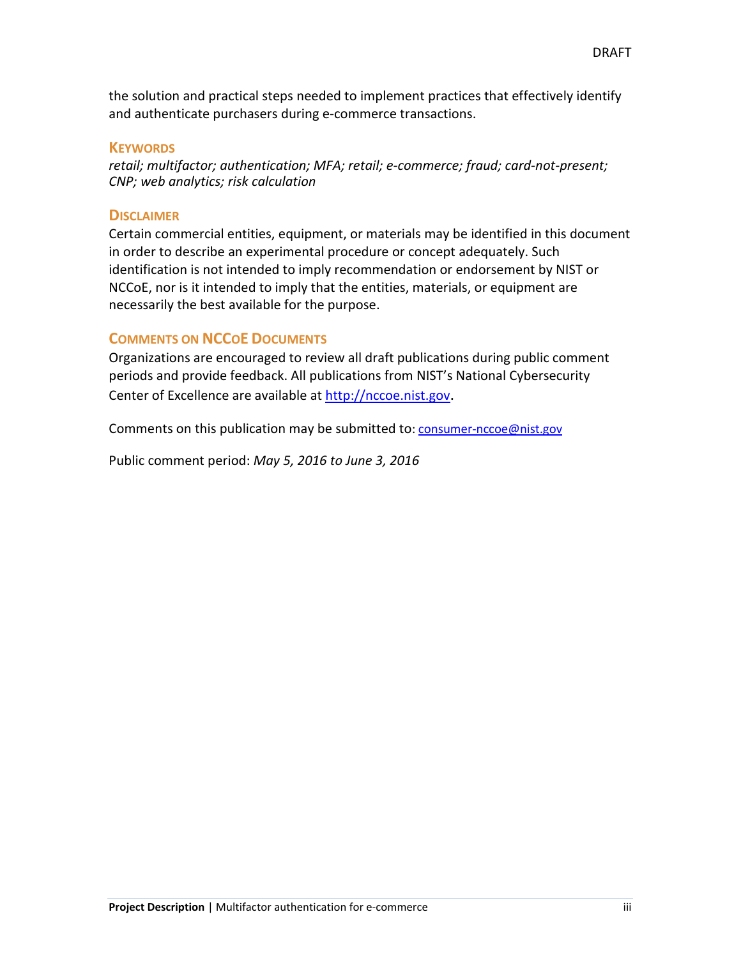the solution and practical steps needed to implement practices that effectively identify and authenticate purchasers during e-commerce transactions.

#### **KEYWORDS**

*retail; multifactor; authentication; MFA; retail; e-commerce; fraud; card-not-present; CNP; web analytics; risk calculation*

#### **DISCLAIMER**

Certain commercial entities, equipment, or materials may be identified in this document in order to describe an experimental procedure or concept adequately. Such identification is not intended to imply recommendation or endorsement by NIST or NCCoE, nor is it intended to imply that the entities, materials, or equipment are necessarily the best available for the purpose.

#### **COMMENTS ON NCCOE DOCUMENTS**

Organizations are encouraged to review all draft publications during public comment periods and provide feedback. All publications from NIST's National Cybersecurity Center of Excellence are available at [http://nccoe.nist.gov.](http://nccoe.nist.gov/)

Comments on this publication may be submitted to: [consumer-nccoe@nist.gov](mailto:consumer-nccoe@nist.gov)

Public comment period: *May 5, 2016 to June 3, 2016*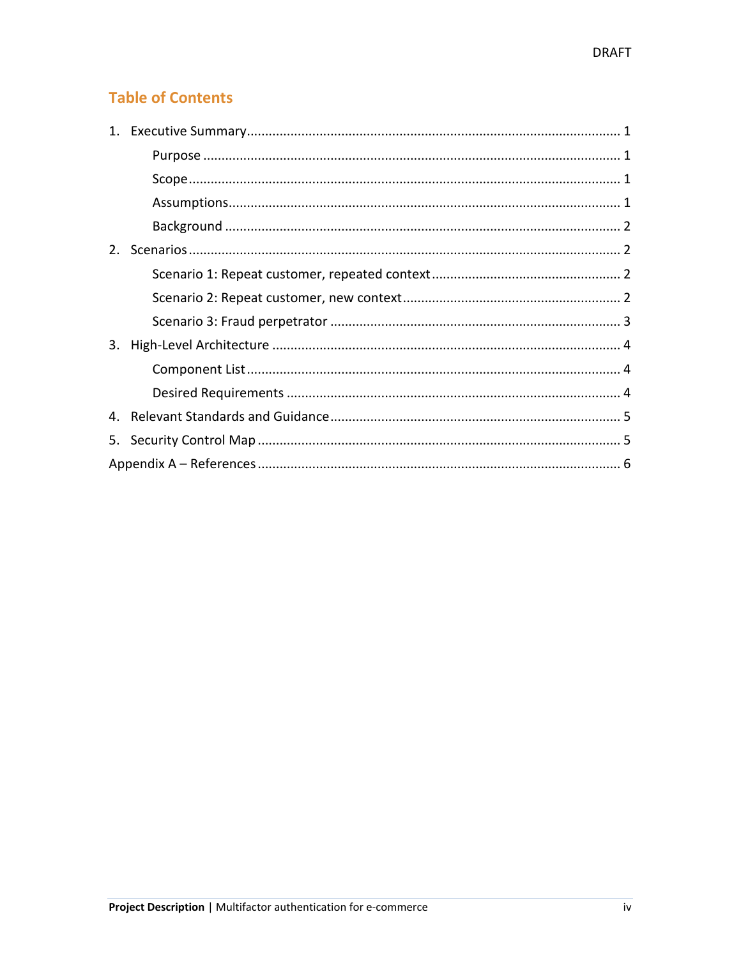### **Table of Contents**

| 3. |  |  |  |  |  |
|----|--|--|--|--|--|
|    |  |  |  |  |  |
|    |  |  |  |  |  |
|    |  |  |  |  |  |
| 5. |  |  |  |  |  |
|    |  |  |  |  |  |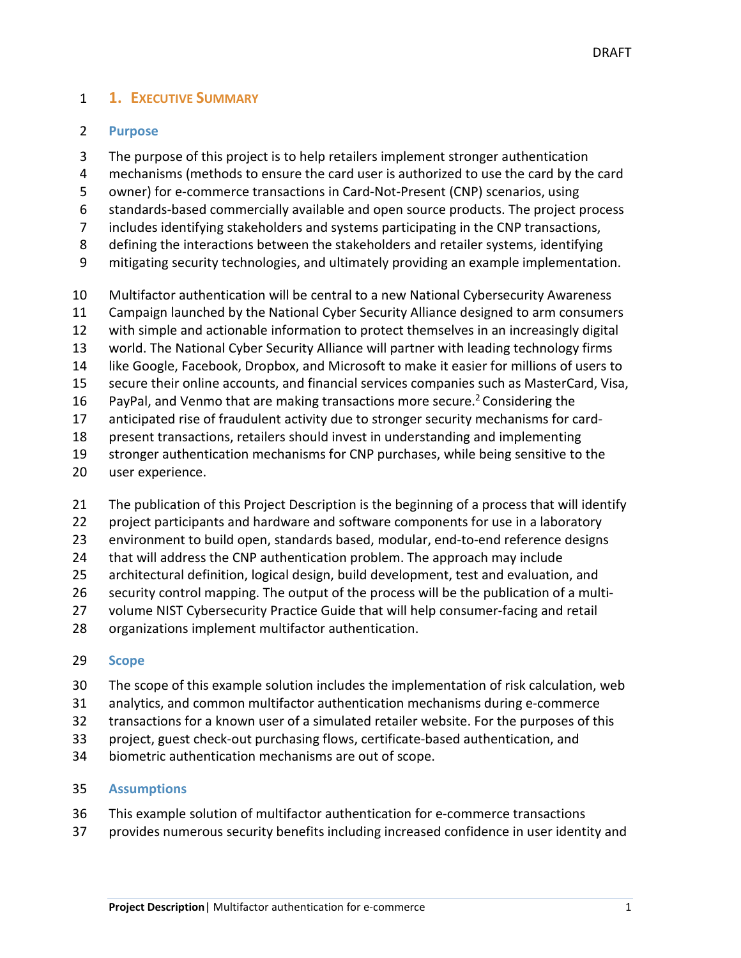#### <span id="page-4-0"></span>**1. EXECUTIVE SUMMARY**

#### <span id="page-4-1"></span>**Purpose**

- The purpose of this project is to help retailers implement stronger authentication
- mechanisms (methods to ensure the card user is authorized to use the card by the card
- owner) for e-commerce transactions in Card-Not-Present (CNP) scenarios, using
- standards-based commercially available and open source products. The project process
- includes identifying stakeholders and systems participating in the CNP transactions,
- defining the interactions between the stakeholders and retailer systems, identifying
- mitigating security technologies, and ultimately providing an example implementation.
- Multifactor authentication will be central to a new National Cybersecurity Awareness
- Campaign launched by the National Cyber Security Alliance designed to arm consumers
- with simple and actionable information to protect themselves in an increasingly digital
- world. The National Cyber Security Alliance will partner with leading technology firms
- like Google, Facebook, Dropbox, and Microsoft to make it easier for millions of users to
- secure their online accounts, and financial services companies such as MasterCard, Visa,
- 16 PayPal, and Venmo that are making transactions more secure.<sup>2</sup> Considering the
- anticipated rise of fraudulent activity due to stronger security mechanisms for card-
- present transactions, retailers should invest in understanding and implementing
- stronger authentication mechanisms for CNP purchases, while being sensitive to the
- user experience.
- 21 The publication of this Project Description is the beginning of a process that will identify
- project participants and hardware and software components for use in a laboratory
- environment to build open, standards based, modular, end-to-end reference designs
- that will address the CNP authentication problem. The approach may include
- architectural definition, logical design, build development, test and evaluation, and
- security control mapping. The output of the process will be the publication of a multi-
- volume NIST Cybersecurity Practice Guide that will help consumer-facing and retail
- organizations implement multifactor authentication.

#### <span id="page-4-2"></span>**Scope**

- The scope of this example solution includes the implementation of risk calculation, web
- analytics, and common multifactor authentication mechanisms during e-commerce
- transactions for a known user of a simulated retailer website. For the purposes of this
- project, guest check-out purchasing flows, certificate-based authentication, and
- biometric authentication mechanisms are out of scope.

#### <span id="page-4-3"></span>**Assumptions**

- This example solution of multifactor authentication for e-commerce transactions
- provides numerous security benefits including increased confidence in user identity and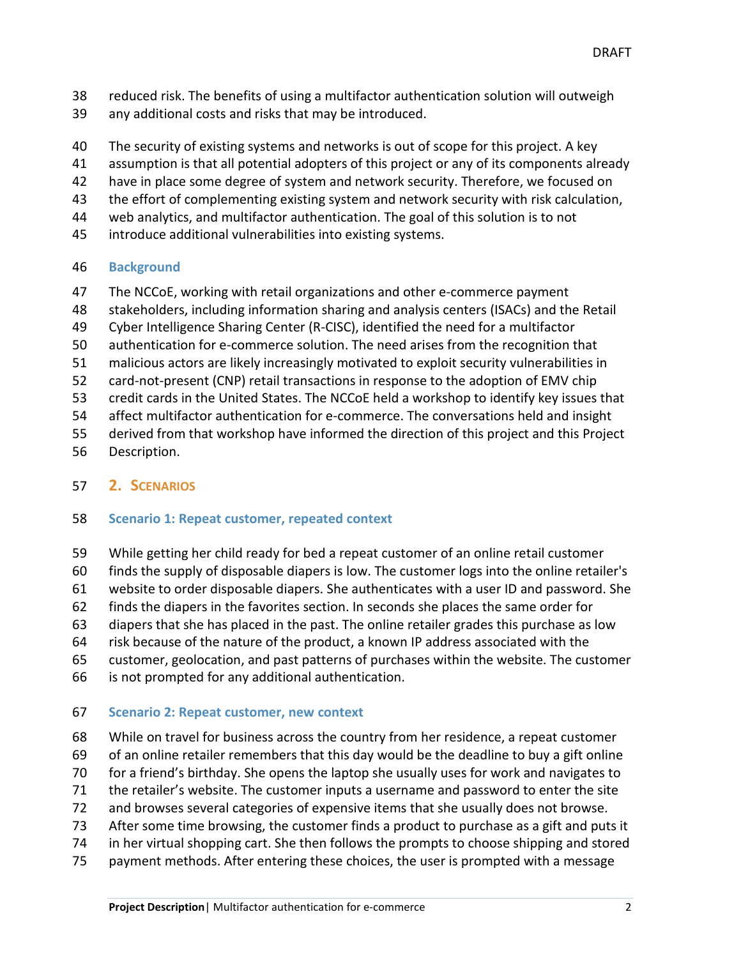- reduced risk. The benefits of using a multifactor authentication solution will outweigh
- any additional costs and risks that may be introduced.
- The security of existing systems and networks is out of scope for this project. A key
- assumption is that all potential adopters of this project or any of its components already
- have in place some degree of system and network security. Therefore, we focused on
- the effort of complementing existing system and network security with risk calculation,
- web analytics, and multifactor authentication. The goal of this solution is to not
- introduce additional vulnerabilities into existing systems.

#### <span id="page-5-0"></span>**Background**

- The NCCoE, working with retail organizations and other e-commerce payment
- stakeholders, including information sharing and analysis centers (ISACs) and the Retail
- Cyber Intelligence Sharing Center (R-CISC), identified the need for a multifactor
- authentication for e-commerce solution. The need arises from the recognition that
- malicious actors are likely increasingly motivated to exploit security vulnerabilities in
- card-not-present (CNP) retail transactions in response to the adoption of EMV chip
- credit cards in the United States. The NCCoE held a workshop to identify key issues that
- affect multifactor authentication for e-commerce. The conversations held and insight
- derived from that workshop have informed the direction of this project and this Project
- Description.

#### <span id="page-5-1"></span>**2. SCENARIOS**

#### <span id="page-5-2"></span>**Scenario 1: Repeat customer, repeated context**

- While getting her child ready for bed a repeat customer of an online retail customer
- finds the supply of disposable diapers is low. The customer logs into the online retailer's
- website to order disposable diapers. She authenticates with a user ID and password. She
- finds the diapers in the favorites section. In seconds she places the same order for
- diapers that she has placed in the past. The online retailer grades this purchase as low
- risk because of the nature of the product, a known IP address associated with the
- customer, geolocation, and past patterns of purchases within the website. The customer
- is not prompted for any additional authentication.

#### <span id="page-5-3"></span>**Scenario 2: Repeat customer, new context**

- While on travel for business across the country from her residence, a repeat customer
- of an online retailer remembers that this day would be the deadline to buy a gift online
- for a friend's birthday. She opens the laptop she usually uses for work and navigates to
- the retailer's website. The customer inputs a username and password to enter the site
- and browses several categories of expensive items that she usually does not browse.
- After some time browsing, the customer finds a product to purchase as a gift and puts it
- in her virtual shopping cart. She then follows the prompts to choose shipping and stored
- payment methods. After entering these choices, the user is prompted with a message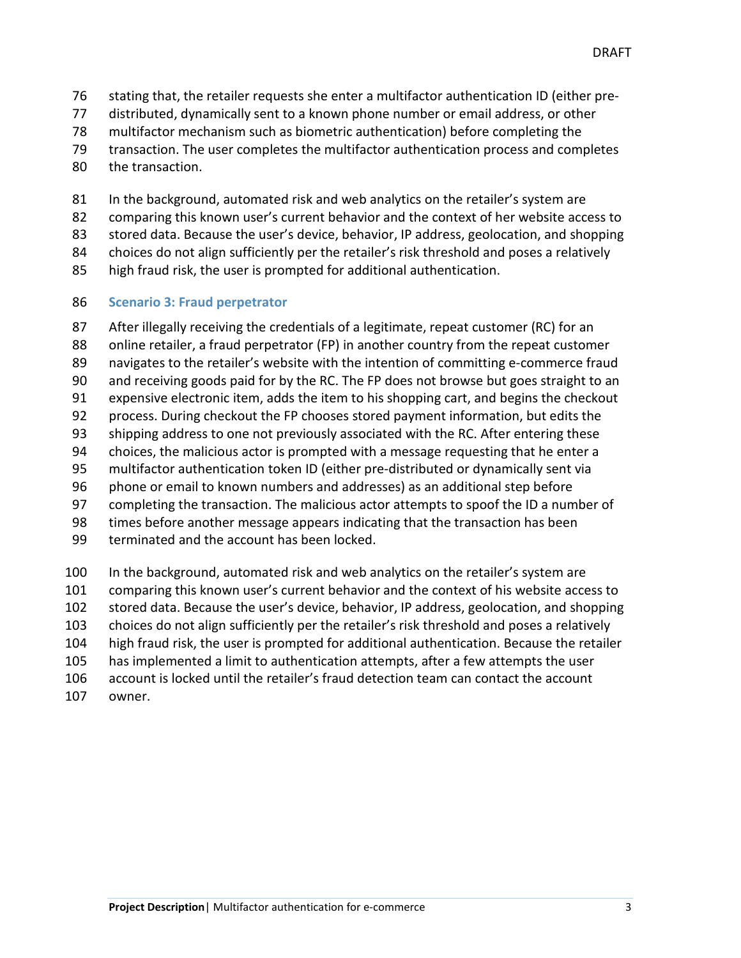stating that, the retailer requests she enter a multifactor authentication ID (either pre-

distributed, dynamically sent to a known phone number or email address, or other

- multifactor mechanism such as biometric authentication) before completing the
- transaction. The user completes the multifactor authentication process and completes
- the transaction.
- 81 In the background, automated risk and web analytics on the retailer's system are
- comparing this known user's current behavior and the context of her website access to
- stored data. Because the user's device, behavior, IP address, geolocation, and shopping

84 choices do not align sufficiently per the retailer's risk threshold and poses a relatively

high fraud risk, the user is prompted for additional authentication.

#### <span id="page-6-0"></span>**Scenario 3: Fraud perpetrator**

 After illegally receiving the credentials of a legitimate, repeat customer (RC) for an online retailer, a fraud perpetrator (FP) in another country from the repeat customer navigates to the retailer's website with the intention of committing e-commerce fraud and receiving goods paid for by the RC. The FP does not browse but goes straight to an expensive electronic item, adds the item to his shopping cart, and begins the checkout process. During checkout the FP chooses stored payment information, but edits the shipping address to one not previously associated with the RC. After entering these choices, the malicious actor is prompted with a message requesting that he enter a multifactor authentication token ID (either pre-distributed or dynamically sent via phone or email to known numbers and addresses) as an additional step before completing the transaction. The malicious actor attempts to spoof the ID a number of times before another message appears indicating that the transaction has been terminated and the account has been locked.

 In the background, automated risk and web analytics on the retailer's system are comparing this known user's current behavior and the context of his website access to stored data. Because the user's device, behavior, IP address, geolocation, and shopping choices do not align sufficiently per the retailer's risk threshold and poses a relatively high fraud risk, the user is prompted for additional authentication. Because the retailer has implemented a limit to authentication attempts, after a few attempts the user account is locked until the retailer's fraud detection team can contact the account owner.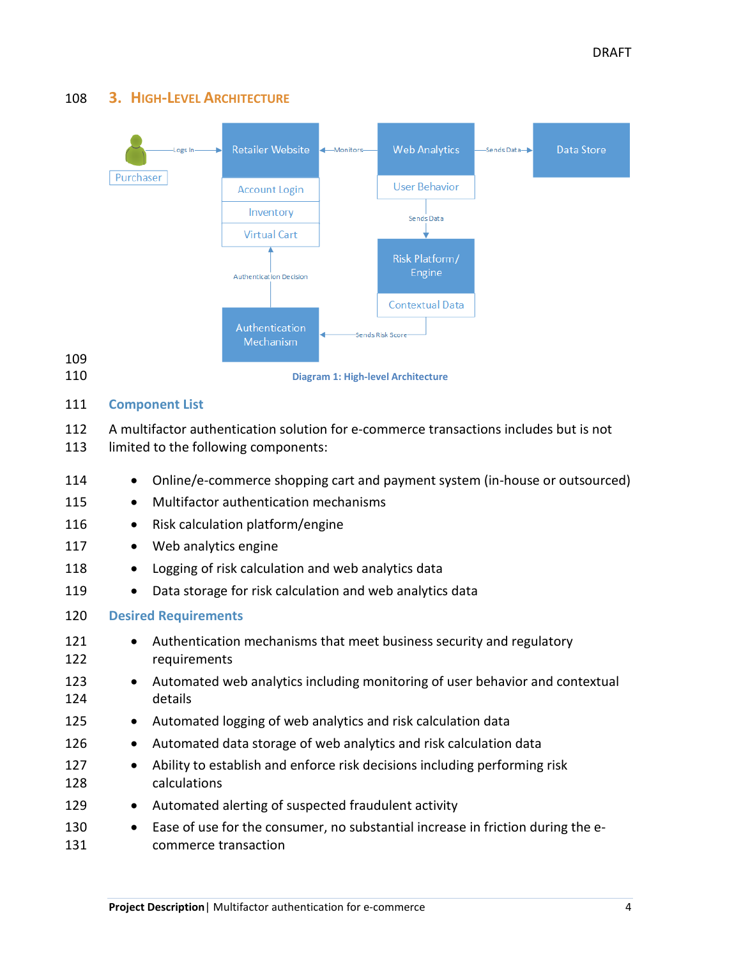#### <span id="page-7-0"></span>108 **3. HIGH-LEVEL ARCHITECTURE**



#### <span id="page-7-1"></span>111 **Component List**

109

- 112 A multifactor authentication solution for e-commerce transactions includes but is not
- 113 limited to the following components:

<span id="page-7-2"></span>

| 114        |           | Online/e-commerce shopping cart and payment system (in-house or outsourced)                             |  |  |  |
|------------|-----------|---------------------------------------------------------------------------------------------------------|--|--|--|
| 115        | $\bullet$ | Multifactor authentication mechanisms                                                                   |  |  |  |
| 116        | $\bullet$ | Risk calculation platform/engine                                                                        |  |  |  |
| 117        | $\bullet$ | Web analytics engine                                                                                    |  |  |  |
| 118        | $\bullet$ | Logging of risk calculation and web analytics data                                                      |  |  |  |
| 119        | $\bullet$ | Data storage for risk calculation and web analytics data                                                |  |  |  |
| 120        |           | <b>Desired Requirements</b>                                                                             |  |  |  |
| 121<br>122 | $\bullet$ | Authentication mechanisms that meet business security and regulatory<br>requirements                    |  |  |  |
| 123<br>124 | $\bullet$ | Automated web analytics including monitoring of user behavior and contextual<br>details                 |  |  |  |
| 125        | $\bullet$ | Automated logging of web analytics and risk calculation data                                            |  |  |  |
| 126        | $\bullet$ | Automated data storage of web analytics and risk calculation data                                       |  |  |  |
| 127<br>128 | $\bullet$ | Ability to establish and enforce risk decisions including performing risk<br>calculations               |  |  |  |
| 129        | $\bullet$ | Automated alerting of suspected fraudulent activity                                                     |  |  |  |
| 130<br>131 | $\bullet$ | Ease of use for the consumer, no substantial increase in friction during the e-<br>commerce transaction |  |  |  |
|            |           |                                                                                                         |  |  |  |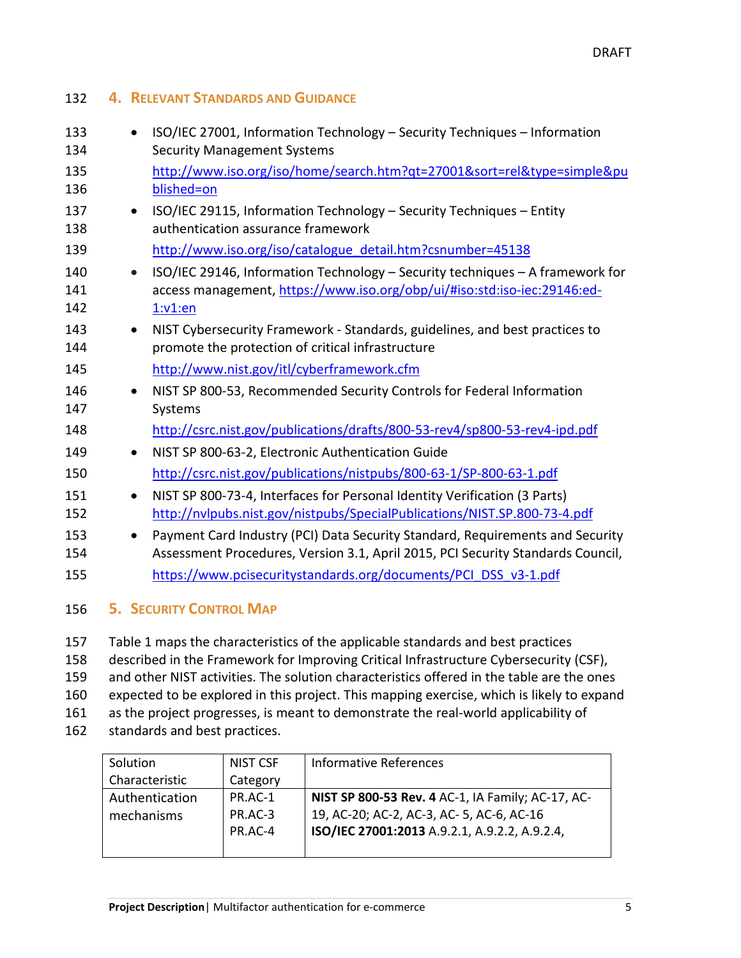| 133 |           | ISO/IEC 27001, Information Technology - Security Techniques - Information       |
|-----|-----------|---------------------------------------------------------------------------------|
| 134 |           | <b>Security Management Systems</b>                                              |
| 135 |           | http://www.iso.org/iso/home/search.htm?qt=27001&sort=rel&type=simple&pu         |
| 136 |           | blished=on                                                                      |
| 137 |           | ISO/IEC 29115, Information Technology - Security Techniques - Entity            |
| 138 |           | authentication assurance framework                                              |
| 139 |           | http://www.iso.org/iso/catalogue detail.htm?csnumber=45138                      |
| 140 |           | ISO/IEC 29146, Information Technology - Security techniques - A framework for   |
| 141 |           | access management, https://www.iso.org/obp/ui/#iso:std:iso-iec:29146:ed-        |
| 142 |           | 1: v1: en                                                                       |
| 143 | $\bullet$ | NIST Cybersecurity Framework - Standards, guidelines, and best practices to     |
| 144 |           | promote the protection of critical infrastructure                               |
| 145 |           | http://www.nist.gov/itl/cyberframework.cfm                                      |
| 146 |           | NIST SP 800-53, Recommended Security Controls for Federal Information           |
| 147 |           | Systems                                                                         |
| 148 |           | http://csrc.nist.gov/publications/drafts/800-53-rev4/sp800-53-rev4-ipd.pdf      |
| 149 | $\bullet$ | NIST SP 800-63-2, Electronic Authentication Guide                               |
| 150 |           | http://csrc.nist.gov/publications/nistpubs/800-63-1/SP-800-63-1.pdf             |
| 151 |           | NIST SP 800-73-4, Interfaces for Personal Identity Verification (3 Parts)       |
| 152 |           | http://nvlpubs.nist.gov/nistpubs/SpecialPublications/NIST.SP.800-73-4.pdf       |
| 153 | $\bullet$ | Payment Card Industry (PCI) Data Security Standard, Requirements and Security   |
| 154 |           | Assessment Procedures, Version 3.1, April 2015, PCI Security Standards Council, |
| 155 |           | https://www.pcisecuritystandards.org/documents/PCI DSS v3-1.pdf                 |
|     |           |                                                                                 |

#### <span id="page-8-1"></span>156 **5. SECURITY CONTROL MAP**

<span id="page-8-0"></span>132 **4. RELEVANT STANDARDS AND GUIDANCE**

157 Table 1 maps the characteristics of the applicable standards and best practices 158 described in the Framework for Improving Critical Infrastructure Cybersecurity (CSF),

159 and other NIST activities. The solution characteristics offered in the table are the ones

- 160 expected to be explored in this project. This mapping exercise, which is likely to expand
- 161 as the project progresses, is meant to demonstrate the real-world applicability of
- 162 standards and best practices.

| Solution       | NIST CSF | <b>Informative References</b>                     |
|----------------|----------|---------------------------------------------------|
| Characteristic | Category |                                                   |
| Authentication | PR.AC-1  | NIST SP 800-53 Rev. 4 AC-1, IA Family; AC-17, AC- |
| mechanisms     | PR.AC-3  | 19, AC-20; AC-2, AC-3, AC-5, AC-6, AC-16          |
|                | PR.AC-4  | ISO/IEC 27001:2013 A.9.2.1, A.9.2.2, A.9.2.4,     |
|                |          |                                                   |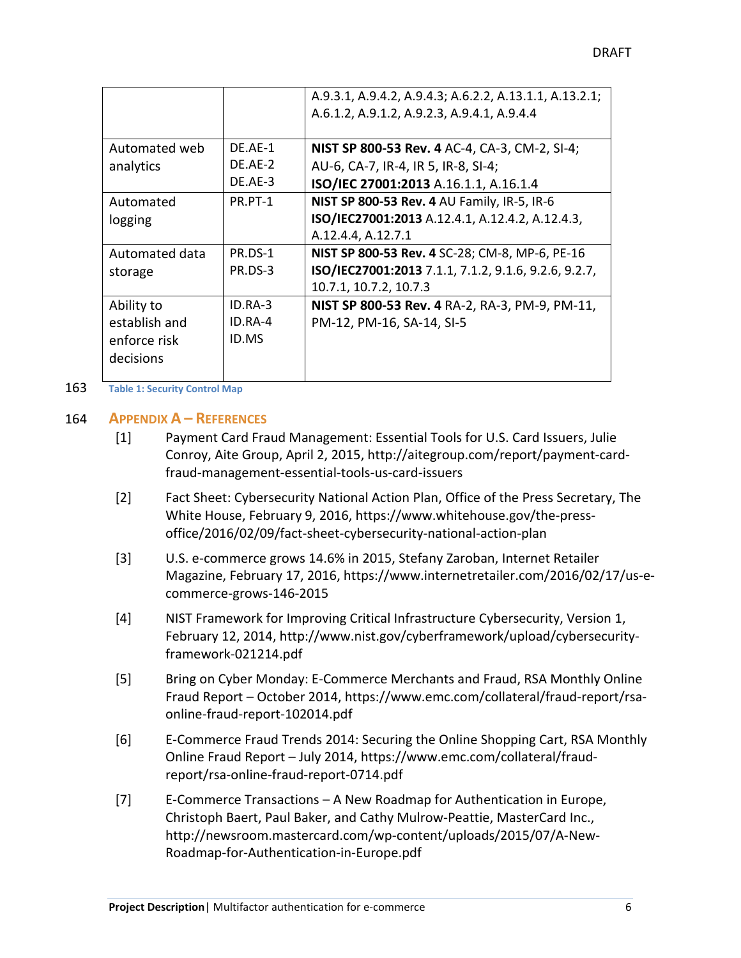|                |         | A.9.3.1, A.9.4.2, A.9.4.3; A.6.2.2, A.13.1.1, A.13.2.1; |
|----------------|---------|---------------------------------------------------------|
|                |         | A.6.1.2, A.9.1.2, A.9.2.3, A.9.4.1, A.9.4.4             |
|                |         |                                                         |
| Automated web  | DE.AE-1 | NIST SP 800-53 Rev. 4 AC-4, CA-3, CM-2, SI-4;           |
| analytics      | DE.AE-2 | AU-6, CA-7, IR-4, IR 5, IR-8, SI-4;                     |
|                | DE.AE-3 | ISO/IEC 27001:2013 A.16.1.1, A.16.1.4                   |
| Automated      | PR.PT-1 | NIST SP 800-53 Rev. 4 AU Family, IR-5, IR-6             |
| logging        |         | ISO/IEC27001:2013 A.12.4.1, A.12.4.2, A.12.4.3,         |
|                |         | A.12.4.4, A.12.7.1                                      |
| Automated data | PR.DS-1 | NIST SP 800-53 Rev. 4 SC-28; CM-8, MP-6, PE-16          |
| storage        | PR.DS-3 | ISO/IEC27001:2013 7.1.1, 7.1.2, 9.1.6, 9.2.6, 9.2.7,    |
|                |         | 10.7.1, 10.7.2, 10.7.3                                  |
| Ability to     | ID.RA-3 | NIST SP 800-53 Rev. 4 RA-2, RA-3, PM-9, PM-11,          |
| establish and  | ID.RA-4 | PM-12, PM-16, SA-14, SI-5                               |
| enforce risk   | ID.MS   |                                                         |
| decisions      |         |                                                         |
|                |         |                                                         |

163 **Table 1: Security Control Map**

#### 164 **APPENDIX A – REFERENCES**

- <span id="page-9-0"></span>[1] Payment Card Fraud Management: Essential Tools for U.S. Card Issuers, Julie Conroy, Aite Group, April 2, 2015, [http://aitegroup.com/report/payment-card](http://aitegroup.com/report/payment-card-fraud-management-essential-tools-us-card-issuers)[fraud-management-essential-tools-us-card-issuers](http://aitegroup.com/report/payment-card-fraud-management-essential-tools-us-card-issuers)
- [2] Fact Sheet: Cybersecurity National Action Plan, Office of the Press Secretary, The White House, February 9, 2016, https://www.whitehouse.gov/the-pressoffice/2016/02/09/fact-sheet-cybersecurity-national-action-plan
- [3] U.S. e-commerce grows 14.6% in 2015, Stefany Zaroban, Internet Retailer Magazine, February 17, 2016, [https://www.internetretailer.com/2016/02/17/us-e](https://www.internetretailer.com/2016/02/17/us-e-commerce-grows-146-2015)[commerce-grows-146-2015](https://www.internetretailer.com/2016/02/17/us-e-commerce-grows-146-2015)
- [4] NIST Framework for Improving Critical Infrastructure Cybersecurity, Version 1, February 12, 2014, [http://www.nist.gov/cyberframework/upload/cybersecurity](http://www.nist.gov/cyberframework/upload/cybersecurity-framework-021214.pdf)[framework-021214.pdf](http://www.nist.gov/cyberframework/upload/cybersecurity-framework-021214.pdf)
- [5] Bring on Cyber Monday: E-Commerce Merchants and Fraud, RSA Monthly Online Fraud Report – October 2014, [https://www.emc.com/collateral/fraud-report/rsa](https://www.emc.com/collateral/fraud-report/rsa-online-fraud-report-102014.pdf)[online-fraud-report-102014.pdf](https://www.emc.com/collateral/fraud-report/rsa-online-fraud-report-102014.pdf)
- [6] E-Commerce Fraud Trends 2014: Securing the Online Shopping Cart, RSA Monthly Online Fraud Report – July 2014, [https://www.emc.com/collateral/fraud](https://www.emc.com/collateral/fraud-report/rsa-online-fraud-report-0714.pdf)[report/rsa-online-fraud-report-0714.pdf](https://www.emc.com/collateral/fraud-report/rsa-online-fraud-report-0714.pdf)
- [7] E-Commerce Transactions A New Roadmap for Authentication in Europe, Christoph Baert, Paul Baker, and Cathy Mulrow-Peattie, MasterCard Inc., [http://newsroom.mastercard.com/wp-content/uploads/2015/07/A-New-](http://newsroom.mastercard.com/wp-content/uploads/2015/07/A-New-Roadmap-for-Authentication-in-Europe.pdf)[Roadmap-for-Authentication-in-Europe.pdf](http://newsroom.mastercard.com/wp-content/uploads/2015/07/A-New-Roadmap-for-Authentication-in-Europe.pdf)